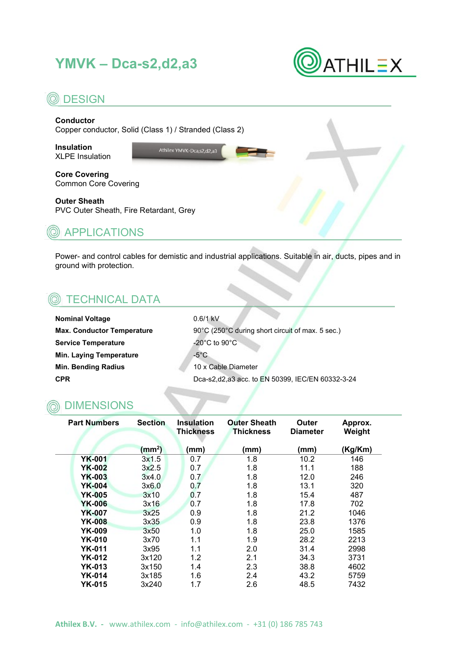# **YMVK – Dca-s2,d2,a3**



### **© DESIGN**

#### **Conductor**

Copper conductor, Solid (Class 1) / Stranded (Class 2)

**Insulation** XLPE Insulation Athilex YMVK-Dca, s2, d2, a3

**Core Covering** Common Core Covering

#### **Outer Sheath**

PVC Outer Sheath, Fire Retardant, Grey



Power- and control cables for demistic and industrial applications. Suitable in air, ducts, pipes and in ground with protection.

### TECHNICAL DATA

**Nominal Voltage** 0.6/1 kV **Service Temperature**  $-20^{\circ}$ C to  $90^{\circ}$ C **Min. Laying Temperature 1999 - 1999 Min. Bending Radius** 10 x Cable Diameter

**Max. Conductor Temperature** 90°C (250°C during short circuit of max. 5 sec.) **CPR Dca-s2,d2,a3 acc. to EN 50399, IEC/EN 60332-3-24** 

#### DIMENSIONS

| <b>Part Numbers</b> | <b>Section</b>    |      | <b>Outer Sheath</b><br><b>Thickness</b> | Outer<br><b>Diameter</b> | Approx.<br>Weight |
|---------------------|-------------------|------|-----------------------------------------|--------------------------|-------------------|
|                     | $\textsf{(mm}^2)$ | (mm) | (mm)                                    | mm)                      | Kg/Km)            |
| <b>YK-001</b>       | 3x1.5             | 0.7  | 1.8                                     | 10.2                     | 146               |
| YK-002              | 3x2.5             | 0.7  | 1.8                                     | 11.1                     | 188               |
| <b>YK-003</b>       | 3x4.0             | 0.7  | 1.8                                     | 12.0                     | 246               |
| <b>YK-004</b>       | 3x6.0             | 0.7  | 1.8                                     | 13.1                     | 320               |
| <b>YK-005</b>       | 3x10              | 0.7  | 1.8                                     | 15.4                     | 487               |
| <b>YK-006</b>       | 3x16              | 0.7  | 1.8                                     | 17.8                     | 702               |
| <b>YK-007</b>       | 3x25              | 0.9  | 1.8                                     | 21.2                     | 1046              |
| <b>YK-008</b>       | 3x35              | 0.9  | 1.8                                     | 23.8                     | 1376              |
| <b>YK-009</b>       | 3x50              | 1.0  | 1.8                                     | 25.0                     | 1585              |
| YK-010              | 3x70              | 1.1  | 1.9                                     | 28.2                     | 2213              |
| <b>YK-011</b>       | 3x95              | 1.1  | 2.0                                     | 31.4                     | 2998              |
| <b>YK-012</b>       | 3x120             | 1.2  | 2.1                                     | 34.3                     | 3731              |
| YK-013              | 3x150             | 1.4  | 2.3                                     | 38.8                     | 4602              |
| YK-014              | 3x185             | 1.6  | 2.4                                     | 43.2                     | 5759              |
| <b>YK-015</b>       | 3x240             | 1.7  | 2.6                                     | 48.5                     | 7432              |